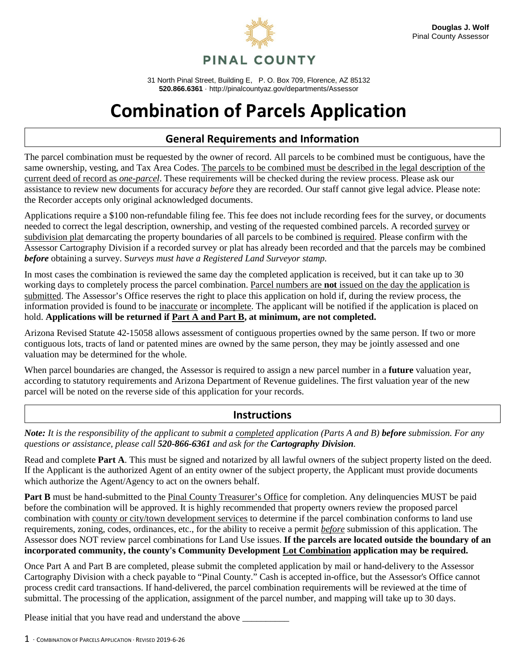

31 North Pinal Street, Building E, P. O. Box 709, Florence, AZ 85132 **520.866.6361** · http://pinalcountyaz.gov/departments/Assessor

## **Combination of Parcels Application**

## **General Requirements and Information**

The parcel combination must be requested by the owner of record. All parcels to be combined must be contiguous, have the same ownership, vesting, and Tax Area Codes. The parcels to be combined must be described in the legal description of the current deed of record as *one-parcel*. These requirements will be checked during the review process. Please ask our assistance to review new documents for accuracy *before* they are recorded. Our staff cannot give legal advice. Please note: the Recorder accepts only original acknowledged documents.

Applications require a \$100 non-refundable filing fee. This fee does not include recording fees for the survey, or documents needed to correct the legal description, ownership, and vesting of the requested combined parcels. A recorded survey or subdivision plat demarcating the property boundaries of all parcels to be combined is required. Please confirm with the Assessor Cartography Division if a recorded survey or plat has already been recorded and that the parcels may be combined *before* obtaining a survey. S*urveys must have a Registered Land Surveyor stamp.*

In most cases the combination is reviewed the same day the completed application is received, but it can take up to 30 working days to completely process the parcel combination. Parcel numbers are **not** issued on the day the application is submitted. The Assessor's Office reserves the right to place this application on hold if, during the review process, the information provided is found to be inaccurate or incomplete. The applicant will be notified if the application is placed on hold. **Applications will be returned if Part A and Part B, at minimum, are not completed.**

Arizona Revised Statute 42-15058 allows assessment of contiguous properties owned by the same person. If two or more contiguous lots, tracts of land or patented mines are owned by the same person, they may be jointly assessed and one valuation may be determined for the whole.

When parcel boundaries are changed, the Assessor is required to assign a new parcel number in a **future** valuation year, according to statutory requirements and Arizona Department of Revenue guidelines. The first valuation year of the new parcel will be noted on the reverse side of this application for your records.

## **Instructions**

*Note: It is the responsibility of the applicant to submit a completed application (Parts A and B) before submission. For any questions or assistance, please call 520-866-6361 and ask for the Cartography Division.* 

Read and complete **Part A**. This must be signed and notarized by all lawful owners of the subject property listed on the deed. If the Applicant is the authorized Agent of an entity owner of the subject property, the Applicant must provide documents which authorize the Agent/Agency to act on the owners behalf.

**Part B** must be hand-submitted to the Pinal County Treasurer's Office for completion. Any delinquencies MUST be paid before the combination will be approved. It is highly recommended that property owners review the proposed parcel combination with county or city/town development services to determine if the parcel combination conforms to land use requirements, zoning, codes, ordinances, etc., for the ability to receive a permit *before* submission of this application. The Assessor does NOT review parcel combinations for Land Use issues. **If the parcels are located outside the boundary of an incorporated community, the county's Community Development Lot Combination application may be required.**

Once Part A and Part B are completed, please submit the completed application by mail or hand-delivery to the Assessor Cartography Division with a check payable to "Pinal County." Cash is accepted in-office, but the Assessor's Office cannot process credit card transactions. If hand-delivered, the parcel combination requirements will be reviewed at the time of submittal. The processing of the application, assignment of the parcel number, and mapping will take up to 30 days.

Please initial that you have read and understand the above  $\equiv$